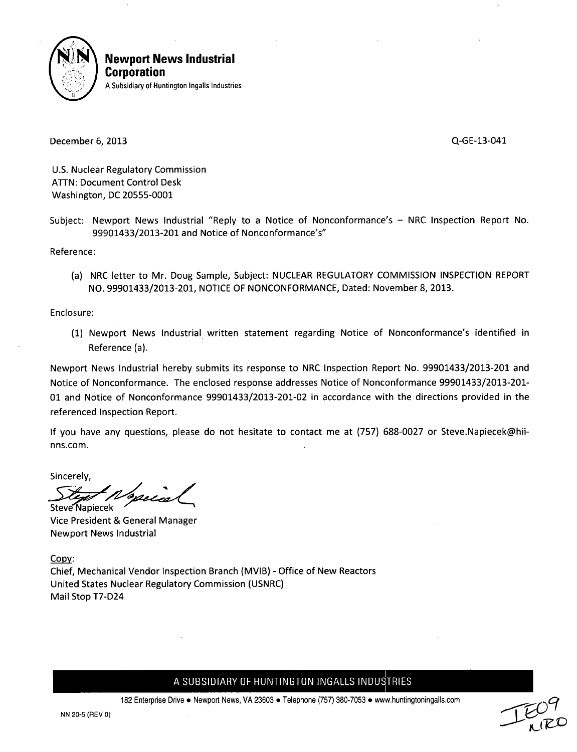

**Newport News Industrial** Corporation **A** Subsidiary of Huntington Ingalls Industries

December 6, 2013 Q-GE-13-041

U.S. Nuclear Regulatory Commission ATTN: Document Control Desk Washington, DC 20555-0001

Subject: Newport News Industrial "Reply to a Notice of Nonconformance's - NRC Inspection Report No. 99901433/2013-201 and Notice of Nonconformance's"

Reference:

(a) NRC letter to Mr. Doug Sample, Subject: NUCLEAR REGULATORY COMMISSION INSPECTION REPORT NO. 99901433/2013-201, NOTICE OF NONCONFORMANCE, Dated: November 8, 2013.

Enclosure:

(1) Newport News Industrial written statement regarding Notice of Nonconformance's identified in Reference (a).

Newport News Industrial hereby submits its response to NRC Inspection Report No. 99901433/2013-201 and Notice of Nonconformance. The enclosed response addresses Notice of Nonconformance 99901433/2013-201- 01 and Notice of Nonconformance 99901433/2013-201-02 in accordance with the directions provided in the referenced Inspection Report.

If you have any questions, please do not hesitate to contact me at (757) 688-0027 or Steve.Napiecek@hiinns.com.

Sincerely,

Steve Napiecek

Vice President & General Manager Newport News Industrial

**copy:**

Chief, Mechanical Vendor Inspection Branch (MVIB) - Office of New Reactors United States Nuclear Regulatory Commission (USNRC) Mail Stop T7-D24

A SUBSIDIARY OF HUNTINGTON INGALLS INDUSTRIES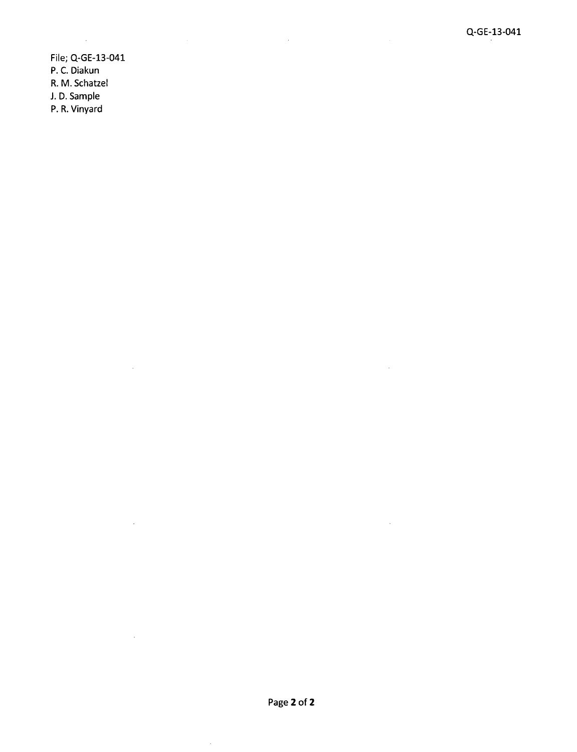File; Q-GE-13-041 P. C. Diakun R. M. Schatzel J. D. Sample P. R. Vinyard

 $\mathcal{A}^{\mathcal{A}}$ 

 $\mathcal{A}$ 

 $\mathcal{A}^{\mathcal{A}}$ 

 $\sim$ 

 $\mathcal{L}$ 

 $\hat{\mathcal{A}}$ 

 $\sim 10^6$ 

 $\hat{\mathcal{A}}$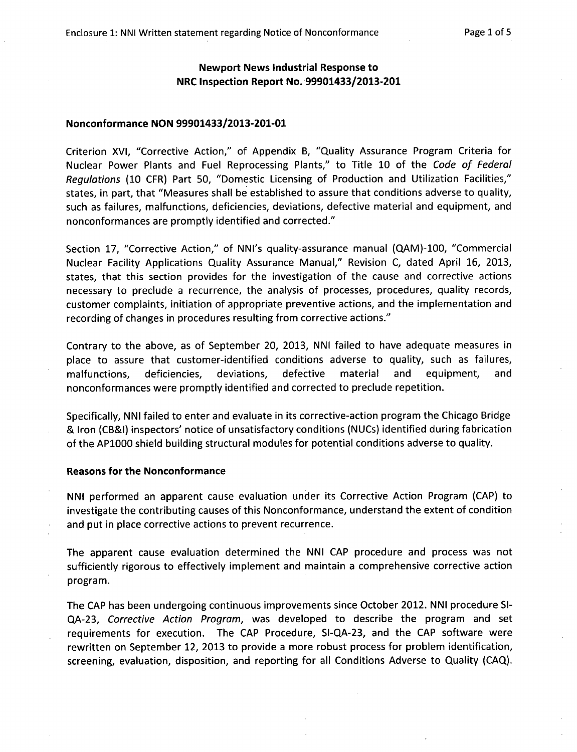# Newport News Industrial Response to NRC Inspection Report No. 99901433/2013-201

### Nonconformance NON 99901433/2013-201-01

Criterion XVI, "Corrective Action," of Appendix B, "Quality Assurance Program Criteria for Nuclear Power Plants and Fuel Reprocessing Plants," to Title 10 of the *Code of Federal Regulations* (10 CFR) Part **50,** "Domestic Licensing of Production and Utilization Facilities," states, in part, that "Measures shall be established to assure that conditions adverse to quality, such as failures, malfunctions, deficiencies, deviations, defective material and equipment, and nonconformances are promptly identified and corrected."

Section 17, "Corrective Action," of NNI's quality-assurance manual (QAM)-100, "Commercial Nuclear Facility Applications Quality Assurance Manual," Revision C, dated April 16, 2013, states, that this section provides for the investigation of the cause and corrective actions necessary to preclude a recurrence, the analysis of processes, procedures, quality records, customer complaints, initiation of appropriate preventive actions, and the implementation and recording of changes in procedures resulting from corrective actions."

Contrary to the above, as of September 20, 2013, NNI failed to have adequate measures in place to assure that customer-identified conditions adverse to quality, such as failures, malfunctions, deficiencies, deviations, defective material and equipment, and nonconformances were promptly identified and corrected to preclude repetition.

Specifically, NNI failed to enter and evaluate in its corrective-action program the Chicago Bridge & Iron (CB&I) inspectors' notice of unsatisfactory conditions (NUCs) identified during fabrication of the AP1000 shield building structural modules for potential conditions adverse to quality.

#### Reasons for the Nonconformance

NNI performed an apparent cause evaluation under its Corrective Action Program (CAP) to investigate the contributing causes of this Nonconformance, understand the extent of condition and put in place corrective actions to prevent recurrence.

The apparent cause evaluation determined the NNI CAP procedure and process was not sufficiently rigorous to effectively implement and maintain a comprehensive corrective action program.

The CAP has been undergoing continuous improvements since October 2012. NNI procedure SI-QA-23, *Corrective Action Program,* was developed to describe the program and set requirements for execution. The CAP Procedure, SI-QA-23, and the CAP software were rewritten on September 12, 2013 to provide a more robust process for problem identification, screening, evaluation, disposition, and reporting for all Conditions Adverse to Quality (CAQ).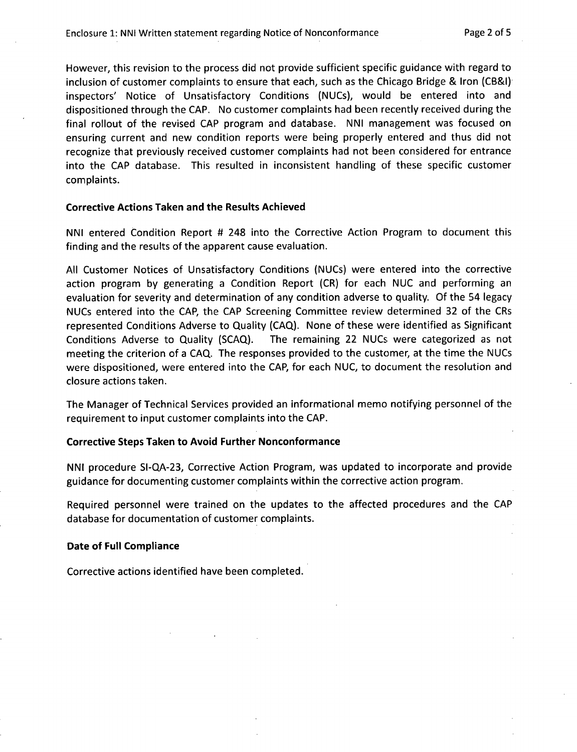However, this revision to the process did not provide sufficient specific guidance with regard to inclusion of customer complaints to ensure that each, such as the Chicago Bridge & Iron (CB&I) inspectors' Notice of Unsatisfactory Conditions (NUCs), would be entered into and dispositioned through the CAP. No customer complaints had been recently received during the final rollout of the revised CAP program and database. NNI management was focused on ensuring current and new condition reports were being properly entered and thus did not recognize that previously received customer complaints had not been considered for entrance into the CAP database. This resulted in inconsistent handling of these specific customer complaints.

## Corrective Actions Taken and the Results Achieved

NNI entered Condition Report # 248 into the Corrective Action Program to document this finding and the results of the apparent cause evaluation.

All Customer Notices of Unsatisfactory Conditions (NUCs) were entered into the corrective action program by generating a Condition Report (CR) for each NUC and performing an evaluation for severity and determination of any condition adverse to quality. Of the 54 legacy NUCs entered into the CAP, the CAP Screening Committee review determined 32 of the CRs represented Conditions Adverse to Quality (CAQ). None of these were identified as Significant Conditions Adverse to Quality (SCAQ). The remaining 22 NUCs were categorized as not meeting the criterion of a CAQ. The responses provided to the customer, at the time the NUCs were dispositioned, were entered into the CAP, for each NUC, to document the resolution and closure actions taken.

The Manager of Technical Services provided an informational memo notifying personnel of the requirement to input customer complaints into the CAP.

## Corrective Steps Taken to Avoid Further Nonconformance

**NNI** procedure **SI-QA-23,** Corrective Action Program, was updated to incorporate and provide guidance for documenting customer complaints within the corrective action program.

Required personnel were trained on the updates to the affected procedures and the CAP database for documentation of customer complaints.

# Date of Full Compliance

Corrective actions identified have been completed.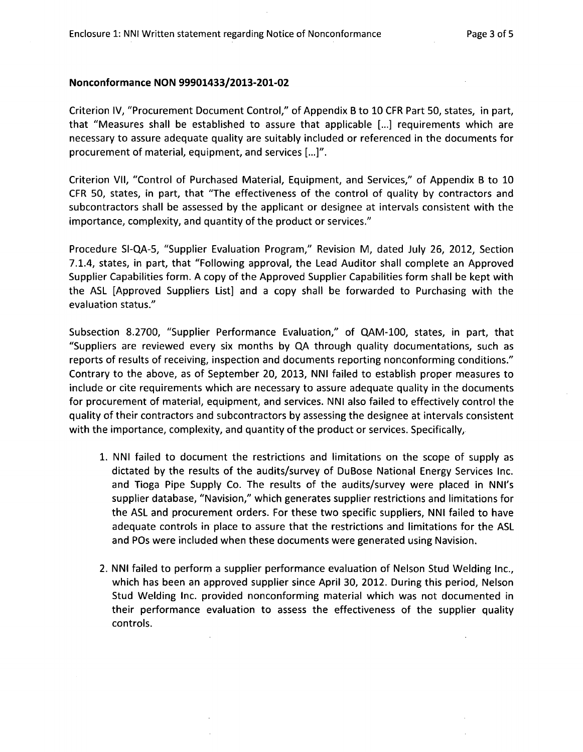#### Nonconformance NON 99901433/2013-201-02

Criterion IV, "Procurement Document Control," of Appendix B to 10 CFR Part **50,** states, in part, that "Measures shall be established to assure that applicable [...] requirements which are necessary to assure adequate quality are suitably included or referenced in the documents for procurement of material, equipment, and services [...]".

Criterion VII, "Control of Purchased Material, Equipment, and Services," of Appendix B to 10 CFR 50, states, in part, that "The effectiveness of the control of quality by contractors and subcontractors shall be assessed by the applicant or designee at intervals consistent with the importance, complexity, and quantity of the product or services."

Procedure SI-QA-5, "Supplier Evaluation Program," Revision M, dated July 26, 2012, Section 7.1.4, states, in part, that "Following approval, the Lead Auditor shall complete an Approved Supplier Capabilities form. A copy of the Approved Supplier Capabilities form shall be kept with the ASL [Approved Suppliers List] and a copy shall be forwarded to Purchasing with the evaluation status."

Subsection 8.2700, "Supplier Performance Evaluation," of QAM-100, states, in part, that "Suppliers are reviewed every six months by **QA** through quality documentations, such as reports of results of receiving, inspection and documents reporting nonconforming conditions." Contrary to the above, as of September 20, 2013, NNI failed to establish proper measures to include or cite requirements which are necessary to assure adequate quality in the documents for procurement of material, equipment, and services. NNI also failed to effectively control the quality of their contractors and subcontractors by assessing the designee at intervals consistent with the importance, complexity, and quantity of the product or services. Specifically,

- 1. NNI failed to document the restrictions and limitations on the scope of supply as dictated by the results of the audits/survey of DuBose National Energy Services Inc. and Tioga Pipe Supply Co. The results of the audits/survey were placed in NNI's supplier database, "Navision," which generates supplier restrictions and limitations for the ASL and procurement orders. For these two specific suppliers, NNI failed to have adequate controls in place to assure that the restrictions and limitations for the ASL and POs were included when these documents were generated using Navision.
- 2. NNI failed to perform a supplier performance evaluation of Nelson Stud Welding Inc., which has been an approved supplier since April 30, 2012. During this period, Nelson Stud Welding Inc. provided nonconforming material which was not documented in their performance evaluation to assess the effectiveness of the supplier quality controls.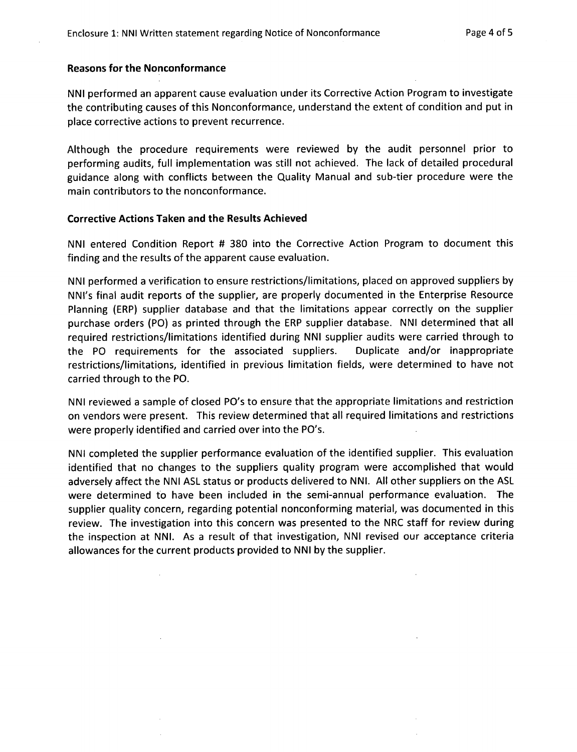#### Reasons for the Nonconformance

NNI performed an apparent cause evaluation under its Corrective Action Program to investigate the contributing causes of this Nonconformance, understand the extent of condition and put in place corrective actions to prevent recurrence.

Although the procedure requirements were reviewed by the audit personnel prior to performing audits, full implementation was still not achieved. The lack of detailed procedural guidance along with conflicts between the Quality Manual and sub-tier procedure were the main contributors to the nonconformance.

## Corrective Actions Taken and the Results Achieved

NNI entered Condition Report # 380 into the Corrective Action Program to document this finding and the results of the apparent cause evaluation.

NNI performed a verification to ensure restrictions/limitations, placed on approved suppliers by NNI's final audit reports of the supplier, are properly documented in the Enterprise Resource Planning (ERP) supplier database and that the limitations appear correctly on the supplier purchase orders (PO) as printed through the ERP supplier database. NNI determined that all required restrictions/limitations identified during NNI supplier audits were carried through to the PO requirements for the associated suppliers. Duplicate and/or inappropriate restrictions/limitations, identified in previous limitation fields, were determined to have not carried through to the PO.

NNI reviewed a sample of closed PO's to ensure that the appropriate limitations and restriction on vendors were present. This review determined that all required limitations and restrictions were properly identified and carried over into the PO's.

NNI completed the supplier performance evaluation of the identified supplier. This evaluation identified that no changes to the suppliers quality program were accomplished that would adversely affect the NNI ASL status or products delivered to NNI. All other suppliers on the ASL were determined to have been included in the semi-annual performance evaluation. The supplier quality concern, regarding potential nonconforming material, was documented in this review. The investigation into this concern was presented to the NRC staff for review during the inspection at NNI. As a result of that investigation, NNI revised our acceptance criteria allowances for the current products provided to NNI by the supplier.